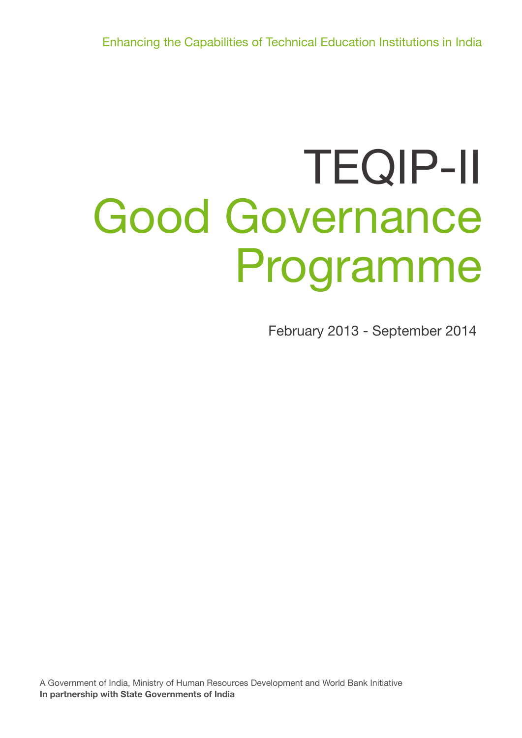Enhancing the Capabilities of Technical Education Institutions in India

# TEQIP-II Good Governance Programme

February 2013 - September 2014

A Government of India, Ministry of Human Resources Development and World Bank Initiative **In partnership with State Governments of India**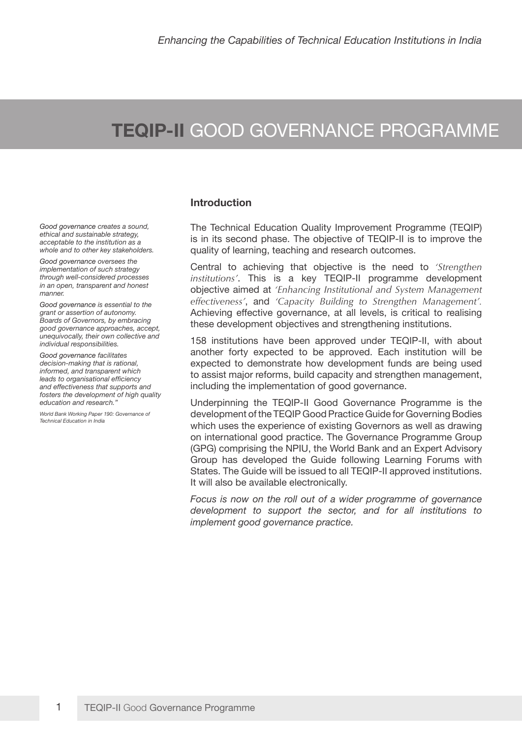# **TEQIP-II** GOOD GOVERNANCE PROGRAMME

*Good governance creates a sound, ethical and sustainable strategy, acceptable to the institution as a whole and to other key stakeholders.*

*Good governance oversees the implementation of such strategy through well-considered processes in an open, transparent and honest manner.*

*Good governance is essential to the grant or assertion of autonomy. Boards of Governors, by embracing good governance approaches, accept, unequivocally, their own collective and individual responsibilities.*

*Good governance facilitates decision-making that is rational, informed, and transparent which leads to organisational efficiency and effectiveness that supports and fosters the development of high quality education and research."*

*World Bank Working Paper 190: Governance of Technical Education in India*

### **Introduction**

The Technical Education Quality Improvement Programme (TEQIP) is in its second phase. The objective of TEQIP-II is to improve the quality of learning, teaching and research outcomes.

Central to achieving that objective is the need to *'Strengthen institutions'*. This is a key TEQIP-II programme development objective aimed at *'Enhancing Institutional and System Management effectiveness'*, and *'Capacity Building to Strengthen Management'.* Achieving effective governance, at all levels, is critical to realising these development objectives and strengthening institutions.

158 institutions have been approved under TEQIP-II, with about another forty expected to be approved. Each institution will be expected to demonstrate how development funds are being used to assist major reforms, build capacity and strengthen management, including the implementation of good governance.

Underpinning the TEQIP-II Good Governance Programme is the development of the TEQIP Good Practice Guide for Governing Bodies which uses the experience of existing Governors as well as drawing on international good practice. The Governance Programme Group (GPG) comprising the NPIU, the World Bank and an Expert Advisory Group has developed the Guide following Learning Forums with States. The Guide will be issued to all TEQIP-II approved institutions. It will also be available electronically.

*Focus is now on the roll out of a wider programme of governance development to support the sector, and for all institutions to implement good governance practice.*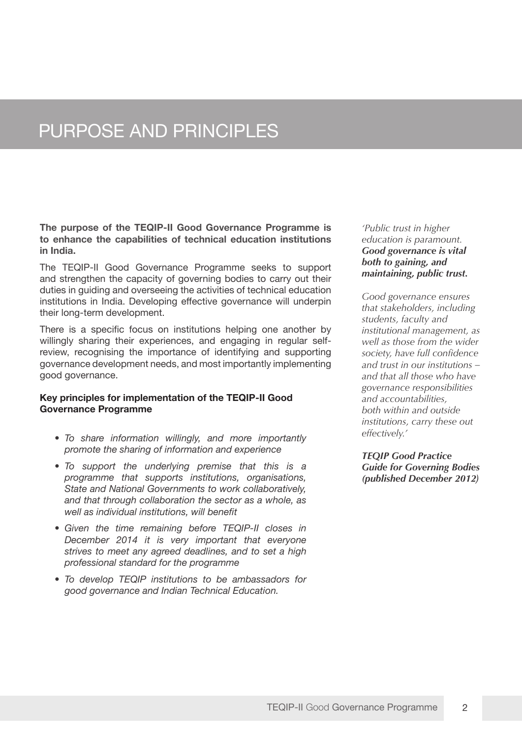## PURPOSE AND PRINCIPLES

**The purpose of the TEQIP-II Good Governance Programme is to enhance the capabilities of technical education institutions in India.** 

The TEQIP-II Good Governance Programme seeks to support and strengthen the capacity of governing bodies to carry out their duties in guiding and overseeing the activities of technical education institutions in India. Developing effective governance will underpin their long-term development.

There is a specific focus on institutions helping one another by willingly sharing their experiences, and engaging in regular selfreview, recognising the importance of identifying and supporting governance development needs, and most importantly implementing good governance.

### **Key principles for implementation of the TEQIP-II Good Governance Programme**

- *• To share information willingly, and more importantly promote the sharing of information and experience*
- *• To support the underlying premise that this is a programme that supports institutions, organisations, State and National Governments to work collaboratively, and that through collaboration the sector as a whole, as well as individual institutions, will benefit*
- *• Given the time remaining before TEQIP-II closes in December 2014 it is very important that everyone strives to meet any agreed deadlines, and to set a high professional standard for the programme*
- *• To develop TEQIP institutions to be ambassadors for good governance and Indian Technical Education.*

*'Public trust in higher education is paramount. Good governance is vital both to gaining, and maintaining, public trust.*

*Good governance ensures that stakeholders, including students, faculty and institutional management, as well as those from the wider society, have full confidence and trust in our institutions – and that all those who have governance responsibilities and accountabilities, both within and outside institutions, carry these out effectively.'* 

*TEQIP Good Practice Guide for Governing Bodies (published December 2012)*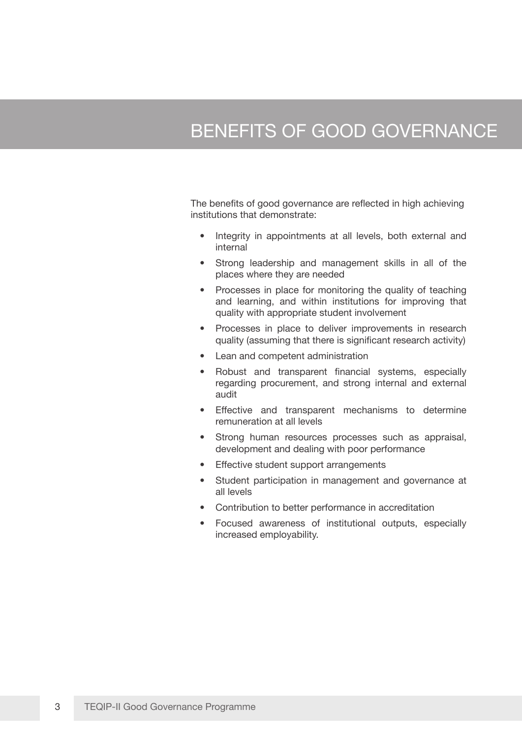### BENEFITS OF GOOD GOVERNANCE

The benefits of good governance are reflected in high achieving institutions that demonstrate:

- Integrity in appointments at all levels, both external and internal
- Strong leadership and management skills in all of the places where they are needed
- Processes in place for monitoring the quality of teaching and learning, and within institutions for improving that quality with appropriate student involvement
- Processes in place to deliver improvements in research quality (assuming that there is significant research activity)
- Lean and competent administration
- Robust and transparent financial systems, especially regarding procurement, and strong internal and external audit
- Effective and transparent mechanisms to determine remuneration at all levels
- Strong human resources processes such as appraisal, development and dealing with poor performance
- Effective student support arrangements
- Student participation in management and governance at all levels
- Contribution to better performance in accreditation
- Focused awareness of institutional outputs, especially increased employability.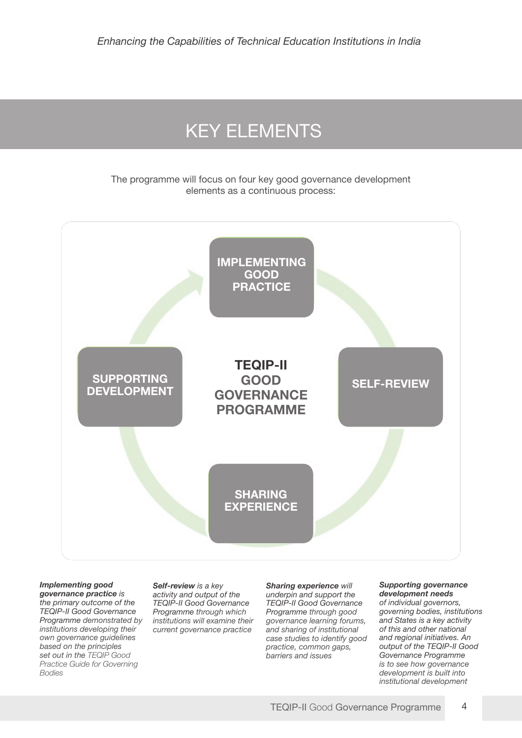## KEY ELEMENTS

The programme will focus on four key good governance development elements as a continuous process:



#### *Implementing good*

*governance practice is the primary outcome of the TEQIP-II Good Governance Programme demonstrated by institutions developing their own governance guidelines based on the principles set out in the TEQIP Good Practice Guide for Governing Bodies*

*Self-review is a key activity and output of the TEQIP-II Good Governance Programme through which institutions will examine their current governance practice*

#### *Sharing experience will underpin and support the TEQIP-II Good Governance Programme through good governance learning forums, and sharing of institutional case studies to identify good practice, common gaps, barriers and issues*

#### *Supporting governance development needs of individual governors, governing bodies, institutions and States is a key activity of this and other national and regional initiatives. An output of the TEQIP-II Good Governance Programme is to see how governance*

*development is built into institutional development*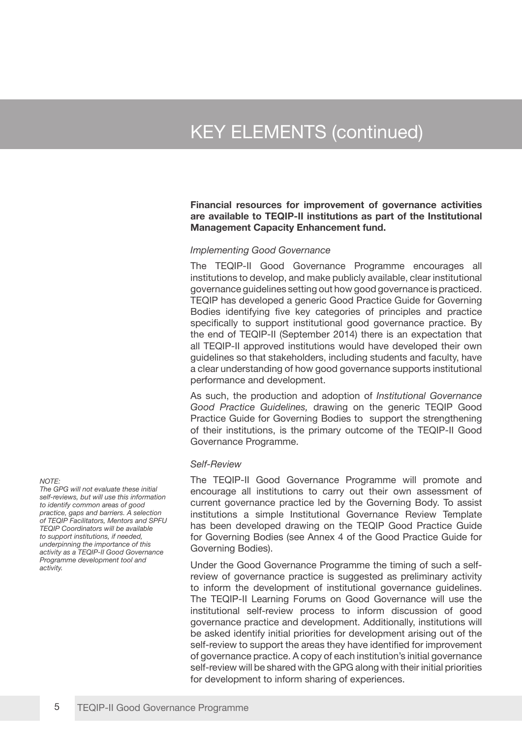# KEY ELEMENTS (continued)

**Financial resources for improvement of governance activities are available to TEQIP-II institutions as part of the Institutional Management Capacity Enhancement fund.**

#### *Implementing Good Governance*

The TEQIP-II Good Governance Programme encourages all institutions to develop, and make publicly available, clear institutional governance guidelines setting out how good governance is practiced. TEQIP has developed a generic Good Practice Guide for Governing Bodies identifying five key categories of principles and practice specifically to support institutional good governance practice. By the end of TEQIP-II (September 2014) there is an expectation that all TEQIP-II approved institutions would have developed their own guidelines so that stakeholders, including students and faculty, have a clear understanding of how good governance supports institutional performance and development.

As such, the production and adoption of *Institutional Governance Good Practice Guidelines,* drawing on the generic TEQIP Good Practice Guide for Governing Bodies to support the strengthening of their institutions, is the primary outcome of the TEQIP-II Good Governance Programme.

#### *Self-Review*

The TEQIP-II Good Governance Programme will promote and encourage all institutions to carry out their own assessment of current governance practice led by the Governing Body. To assist institutions a simple Institutional Governance Review Template has been developed drawing on the TEQIP Good Practice Guide for Governing Bodies (see Annex 4 of the Good Practice Guide for Governing Bodies).

Under the Good Governance Programme the timing of such a selfreview of governance practice is suggested as preliminary activity to inform the development of institutional governance guidelines. The TEQIP-II Learning Forums on Good Governance will use the institutional self-review process to inform discussion of good governance practice and development. Additionally, institutions will be asked identify initial priorities for development arising out of the self-review to support the areas they have identified for improvement of governance practice. A copy of each institution's initial governance self-review will be shared with the GPG along with their initial priorities for development to inform sharing of experiences.

*NOTE:* 

*The GPG will not evaluate these initial self-reviews, but will use this information to identify common areas of good practice, gaps and barriers. A selection of TEQIP Facilitators, Mentors and SPFU TEQIP Coordinators will be available to support institutions, if needed, underpinning the importance of this activity as a TEQIP-II Good Governance Programme development tool and activity.*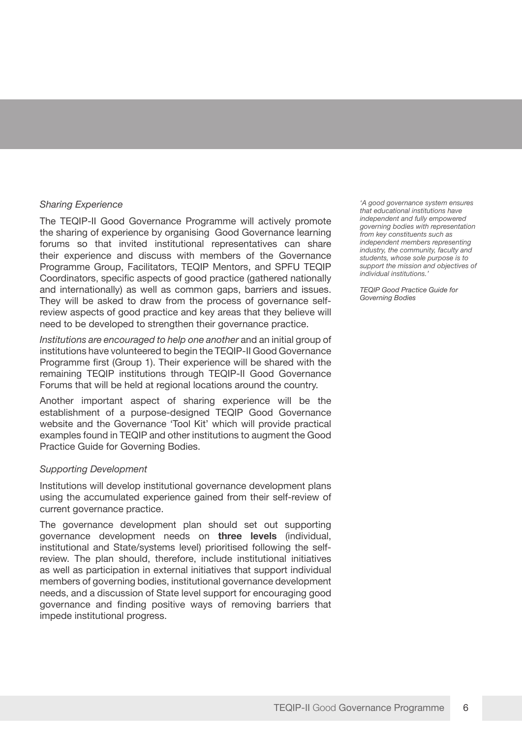### *Sharing Experience*

The TEQIP-II Good Governance Programme will actively promote the sharing of experience by organising Good Governance learning forums so that invited institutional representatives can share their experience and discuss with members of the Governance Programme Group, Facilitators, TEQIP Mentors, and SPFU TEQIP Coordinators, specific aspects of good practice (gathered nationally and internationally) as well as common gaps, barriers and issues. They will be asked to draw from the process of governance selfreview aspects of good practice and key areas that they believe will need to be developed to strengthen their governance practice.

*Institutions are encouraged to help one another* and an initial group of institutions have volunteered to begin the TEQIP-II Good Governance Programme first (Group 1). Their experience will be shared with the remaining TEQIP institutions through TEQIP-II Good Governance Forums that will be held at regional locations around the country.

Another important aspect of sharing experience will be the establishment of a purpose-designed TEQIP Good Governance website and the Governance 'Tool Kit' which will provide practical examples found in TEQIP and other institutions to augment the Good Practice Guide for Governing Bodies.

### *Supporting Development*

Institutions will develop institutional governance development plans using the accumulated experience gained from their self-review of current governance practice.

The governance development plan should set out supporting governance development needs on **three levels** (individual, institutional and State/systems level) prioritised following the selfreview. The plan should, therefore, include institutional initiatives as well as participation in external initiatives that support individual members of governing bodies, institutional governance development needs, and a discussion of State level support for encouraging good governance and finding positive ways of removing barriers that impede institutional progress.

*'A good governance system ensures that educational institutions have independent and fully empowered governing bodies with representation from key constituents such as independent members representing industry, the community, faculty and students, whose sole purpose is to support the mission and objectives of individual institutions.'*

*TEQIP Good Practice Guide for Governing Bodies*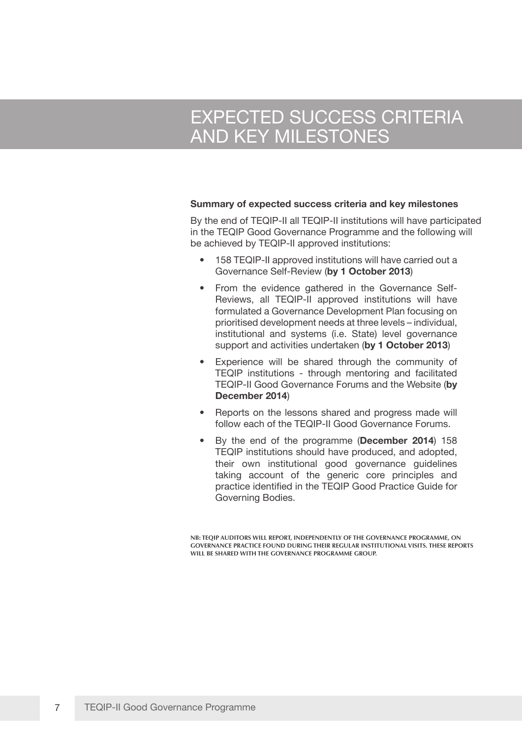# EXPECTED SUCCESS CRITERIA AND KEY MILESTONES

#### **Summary of expected success criteria and key milestones**

By the end of TEQIP-II all TEQIP-II institutions will have participated in the TEQIP Good Governance Programme and the following will be achieved by TEQIP-II approved institutions:

- 158 TEQIP-II approved institutions will have carried out a Governance Self-Review (**by 1 October 2013**)
- From the evidence gathered in the Governance Self-Reviews, all TEQIP-II approved institutions will have formulated a Governance Development Plan focusing on prioritised development needs at three levels – individual, institutional and systems (i.e. State) level governance support and activities undertaken (**by 1 October 2013**)
- Experience will be shared through the community of TEQIP institutions - through mentoring and facilitated TEQIP-II Good Governance Forums and the Website (**by December 2014**)
- Reports on the lessons shared and progress made will follow each of the TEQIP-II Good Governance Forums.
- By the end of the programme (**December 2014**) 158 TEQIP institutions should have produced, and adopted, their own institutional good governance guidelines taking account of the generic core principles and practice identified in the TEQIP Good Practice Guide for Governing Bodies.

**NB: TEQIP AUDITORS WILL REPORT, INDEPENDENTLY OF THE GOVERNANCE PROGRAMME, ON GOVERNANCE PRACTICE FOUND DURING THEIR REGULAR INSTITUTIONAL VISITS. THESE REPORTS WILL BE SHARED WITH THE GOVERNANCE PROGRAMME GROUP.**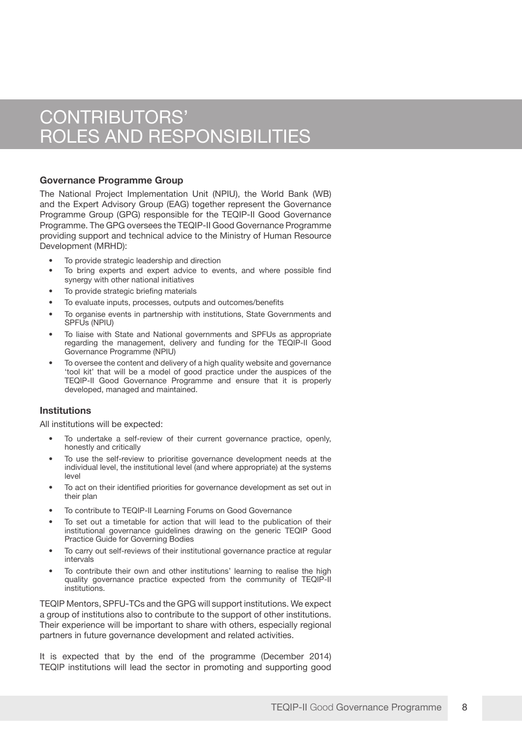### CONTRIBUTORS' ROLES AND RESPONSIBILITIES

### **Governance Programme Group**

The National Project Implementation Unit (NPIU), the World Bank (WB) and the Expert Advisory Group (EAG) together represent the Governance Programme Group (GPG) responsible for the TEQIP-II Good Governance Programme. The GPG oversees the TEQIP-II Good Governance Programme providing support and technical advice to the Ministry of Human Resource Development (MRHD):

- To provide strategic leadership and direction
- To bring experts and expert advice to events, and where possible find synergy with other national initiatives
- To provide strategic briefing materials
- To evaluate inputs, processes, outputs and outcomes/benefits
- To organise events in partnership with institutions, State Governments and SPFUs (NPIU)
- To liaise with State and National governments and SPFUs as appropriate regarding the management, delivery and funding for the TEQIP-II Good Governance Programme (NPIU)
- To oversee the content and delivery of a high quality website and governance 'tool kit' that will be a model of good practice under the auspices of the TEQIP-II Good Governance Programme and ensure that it is properly developed, managed and maintained.

### **Institutions**

All institutions will be expected:

- To undertake a self-review of their current governance practice, openly, honestly and critically
- To use the self-review to prioritise governance development needs at the individual level, the institutional level (and where appropriate) at the systems level
- To act on their identified priorities for governance development as set out in their plan
- To contribute to TEQIP-II Learning Forums on Good Governance
- To set out a timetable for action that will lead to the publication of their institutional governance guidelines drawing on the generic TEQIP Good Practice Guide for Governing Bodies
- To carry out self-reviews of their institutional governance practice at regular intervals
- To contribute their own and other institutions' learning to realise the high quality governance practice expected from the community of TEQIP-II institutions.

TEQIP Mentors, SPFU-TCs and the GPG will support institutions. We expect a group of institutions also to contribute to the support of other institutions. Their experience will be important to share with others, especially regional partners in future governance development and related activities.

It is expected that by the end of the programme (December 2014) TEQIP institutions will lead the sector in promoting and supporting good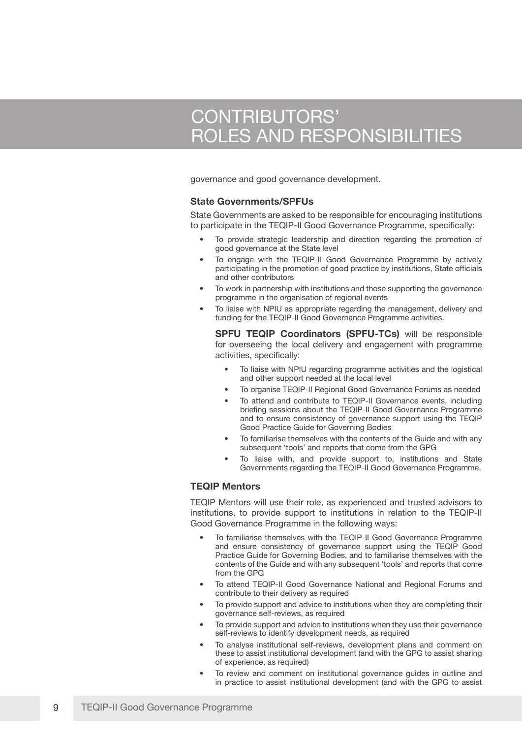## CONTRIBUTORS' ROLES AND RESPONSIBILITIES

governance and good governance development.

#### **State Governments/SPFUs**

State Governments are asked to be responsible for encouraging institutions to participate in the TEQIP-II Good Governance Programme, specifically:

- To provide strategic leadership and direction regarding the promotion of good governance at the State level
- To engage with the TEQIP-II Good Governance Programme by actively participating in the promotion of good practice by institutions, State officials and other contributors
- To work in partnership with institutions and those supporting the governance programme in the organisation of regional events
- To liaise with NPIU as appropriate regarding the management, delivery and funding for the TEQIP-II Good Governance Programme activities.

**SPFU TEQIP Coordinators (SPFU-TCs)** will be responsible for overseeing the local delivery and engagement with programme activities, specifically:

- To liaise with NPIU regarding programme activities and the logistical and other support needed at the local level
- To organise TEQIP-II Regional Good Governance Forums as needed
- To attend and contribute to TEQIP-II Governance events, including briefing sessions about the TEQIP-II Good Governance Programme and to ensure consistency of governance support using the TEQIP Good Practice Guide for Governing Bodies
- To familiarise themselves with the contents of the Guide and with any subsequent 'tools' and reports that come from the GPG
- To liaise with, and provide support to, institutions and State Governments regarding the TEQIP-II Good Governance Programme.

### **TEQIP Mentors**

TEQIP Mentors will use their role, as experienced and trusted advisors to institutions, to provide support to institutions in relation to the TEQIP-II Good Governance Programme in the following ways:

- To familiarise themselves with the TEQIP-II Good Governance Programme and ensure consistency of governance support using the TEQIP Good Practice Guide for Governing Bodies, and to familiarise themselves with the contents of the Guide and with any subsequent 'tools' and reports that come from the GPG
- To attend TEQIP-II Good Governance National and Regional Forums and contribute to their delivery as required
- To provide support and advice to institutions when they are completing their governance self-reviews, as required
- To provide support and advice to institutions when they use their governance self-reviews to identify development needs, as required
- To analyse institutional self-reviews, development plans and comment on these to assist institutional development (and with the GPG to assist sharing of experience, as required)
- To review and comment on institutional governance guides in outline and in practice to assist institutional development (and with the GPG to assist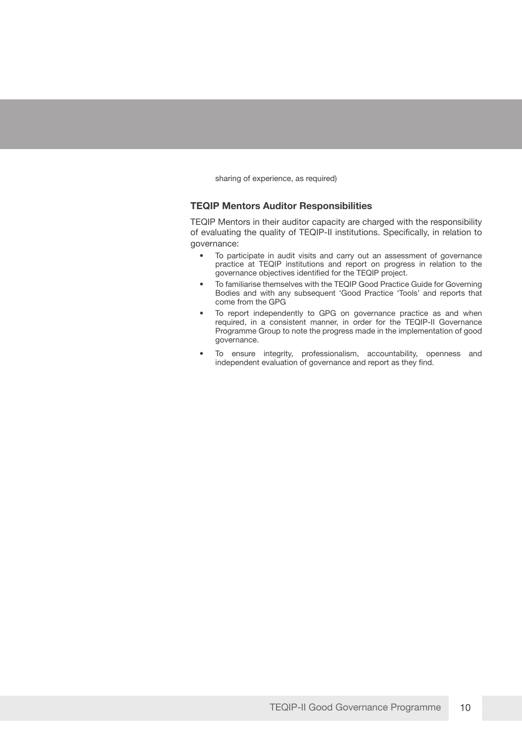sharing of experience, as required)

#### **TEQIP Mentors Auditor Responsibilities**

TEQIP Mentors in their auditor capacity are charged with the responsibility of evaluating the quality of TEQIP-II institutions. Specifically, in relation to governance:

- To participate in audit visits and carry out an assessment of governance practice at TEQIP institutions and report on progress in relation to the governance objectives identified for the TEQIP project.
- To familiarise themselves with the TEQIP Good Practice Guide for Governing Bodies and with any subsequent 'Good Practice 'Tools' and reports that come from the GPG
- To report independently to GPG on governance practice as and when required, in a consistent manner, in order for the TEQIP-II Governance Programme Group to note the progress made in the implementation of good governance.
- To ensure integrity, professionalism, accountability, openness and independent evaluation of governance and report as they find.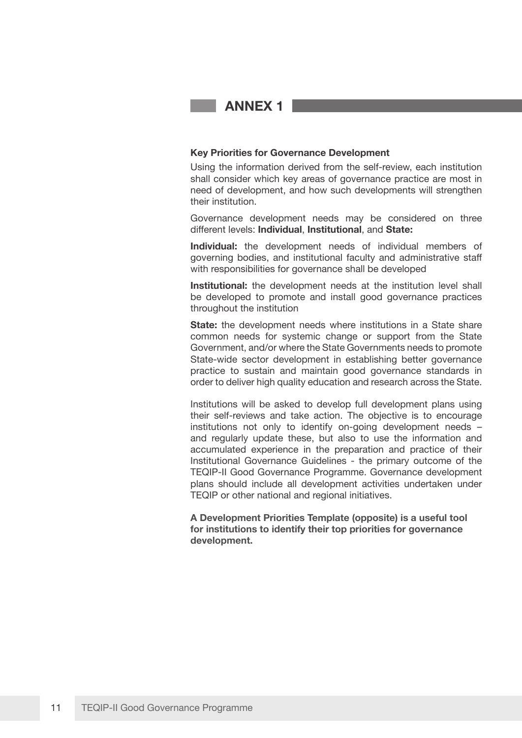**ANNEX 1**

### **Key Priorities for Governance Development**

Using the information derived from the self-review, each institution shall consider which key areas of governance practice are most in need of development, and how such developments will strengthen their institution.

Governance development needs may be considered on three different levels: **Individual**, **Institutional**, and **State:**

**Individual:** the development needs of individual members of governing bodies, and institutional faculty and administrative staff with responsibilities for governance shall be developed

**Institutional:** the development needs at the institution level shall be developed to promote and install good governance practices throughout the institution

**State:** the development needs where institutions in a State share common needs for systemic change or support from the State Government, and/or where the State Governments needs to promote State-wide sector development in establishing better governance practice to sustain and maintain good governance standards in order to deliver high quality education and research across the State.

Institutions will be asked to develop full development plans using their self-reviews and take action. The objective is to encourage institutions not only to identify on-going development needs – and regularly update these, but also to use the information and accumulated experience in the preparation and practice of their Institutional Governance Guidelines - the primary outcome of the TEQIP-II Good Governance Programme. Governance development plans should include all development activities undertaken under TEQIP or other national and regional initiatives.

**A Development Priorities Template (opposite) is a useful tool for institutions to identify their top priorities for governance development.**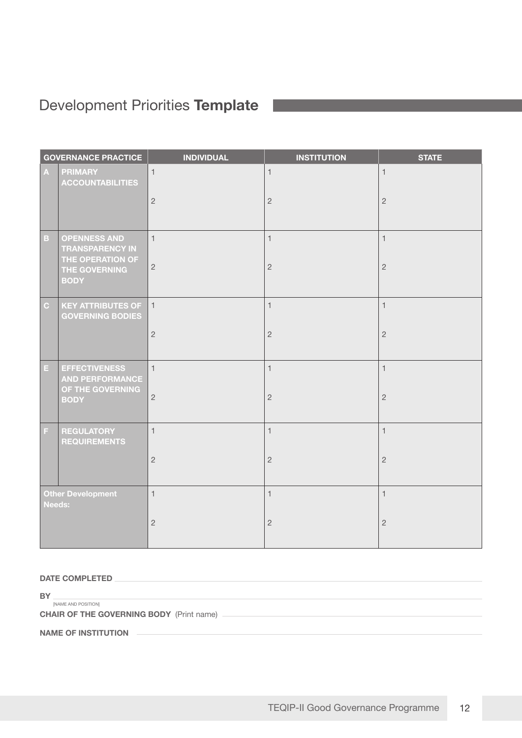### Development Priorities **Template**

| <b>GOVERNANCE PRACTICE</b>         |                                                                    | <b>INDIVIDUAL</b> | <b>INSTITUTION</b> | <b>STATE</b>   |
|------------------------------------|--------------------------------------------------------------------|-------------------|--------------------|----------------|
| $\boldsymbol{\mathsf{A}}$          | <b>PRIMARY</b><br><b>ACCOUNTABILITIES</b>                          | $\mathbf{1}$      | $\mathbf{1}$       | $\mathbf{1}$   |
|                                    |                                                                    | $\overline{c}$    | $\overline{c}$     | $\sqrt{2}$     |
| $\mathbf B$                        | <b>OPENNESS AND</b><br><b>TRANSPARENCY IN</b><br>THE OPERATION OF  | $\mathbf{1}$      | $\mathbf{1}$       | $\mathbf{1}$   |
|                                    | THE GOVERNING<br><b>BODY</b>                                       | $\sqrt{2}$        | $\sqrt{2}$         | $\sqrt{2}$     |
| $\mathbf{C}$                       | <b>KEY ATTRIBUTES OF</b><br><b>GOVERNING BODIES</b>                | $\overline{1}$    | $\mathbf{1}$       | $\mathbf{1}$   |
|                                    |                                                                    | $\overline{c}$    | $\overline{c}$     | $\overline{c}$ |
| E.                                 | <b>EFFECTIVENESS</b><br><b>AND PERFORMANCE</b><br>OF THE GOVERNING | $\mathbf{1}$      | $\mathbf{1}$       | $\mathbf{1}$   |
|                                    | <b>BODY</b>                                                        | $\sqrt{2}$        | $\sqrt{2}$         | $\sqrt{2}$     |
| F                                  | <b>REGULATORY</b><br><b>REQUIREMENTS</b>                           | $\mathbf{1}$      | $\mathbf{1}$       | $\mathbf{1}$   |
|                                    |                                                                    | $\overline{c}$    | $\overline{2}$     | $\overline{c}$ |
| Other Development<br><b>Needs:</b> |                                                                    | $\mathbf{1}$      | $\mathbf{1}$       | $\mathbf{1}$   |
|                                    |                                                                    | $\overline{c}$    | $\overline{c}$     | $\sqrt{2}$     |

**DATE COMPLETED** 

**BY INAME AND POSITION** 

**CHAIR OF THE GOVERNING BODY** (Print name) -

**NAME OF INSTITUTION**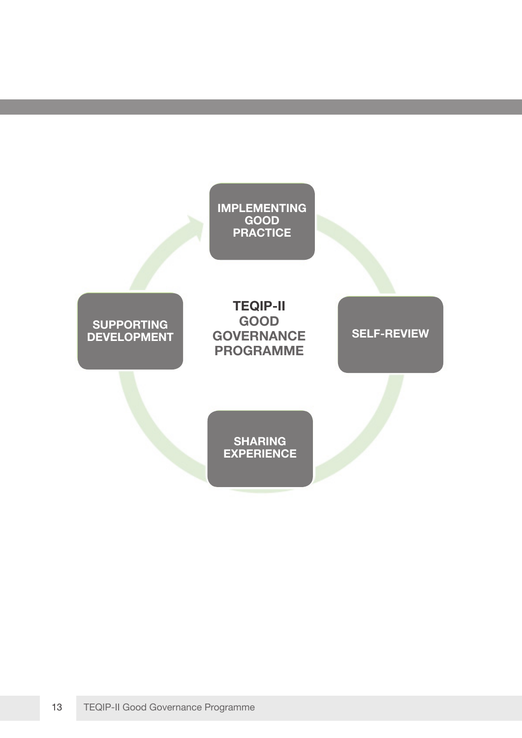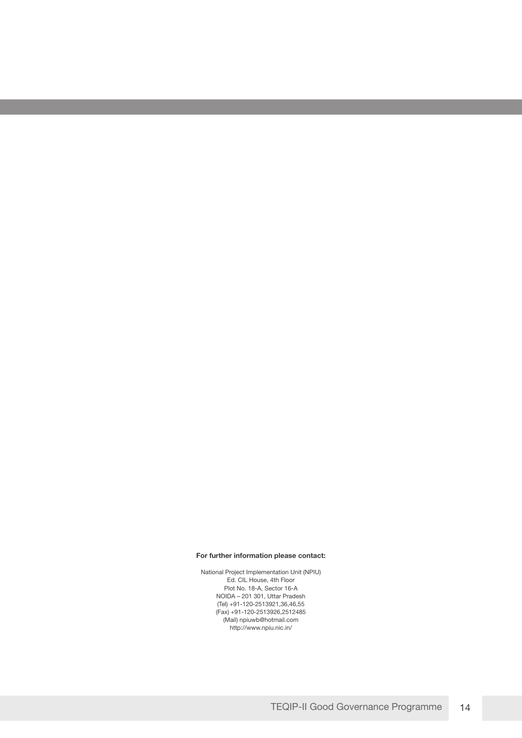#### **For further information please contact:**

National Project Implementation Unit (NPIU) Ed. CIL House, 4th Floor Plot No. 18-A, Sector 16-A NOIDA – 201 301, Uttar Pradesh (Tel) +91-120-2513921,36,46,55 (Fax) +91-120-2513926,2512485 (Mail) npiuwb@hotmail.com http://www.npiu.nic.in/